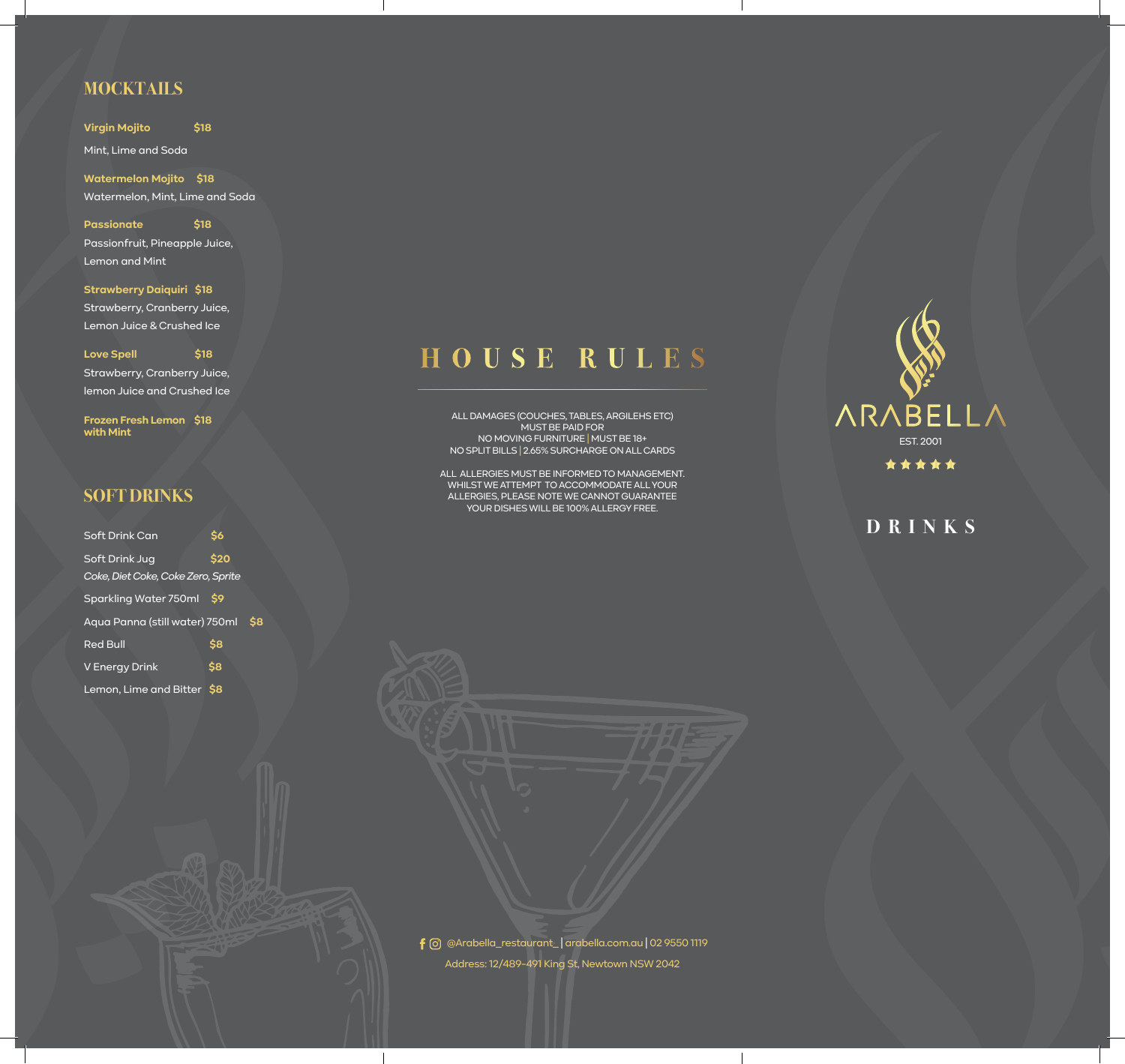## **MOCKTAILS**

**Virgin Mojito \$18** Mint, Lime and Soda

**Watermelon Mojito \$18** Watermelon, Mint, Lime and Soda

**Passionate \$18**  Passionfruit, Pineapple Juice, Lemon and Mint

**Strawberry Daiquiri \$18**  Strawberry, Cranberry Juice, Lemon Juice & Crushed Ice

#### **Love Spell \$18**

Strawberry, Cranberry Juice, lemon Juice and Crushed Ice

**Frozen Fresh Lemon \$18 with Mint**

#### **SOFT DRINKS**

| Soft Drink Can                     | <b>\$6</b>     |     |
|------------------------------------|----------------|-----|
| <b>Soft Drink Jug</b>              | \$20           |     |
| Coke, Diet Coke, Coke Zero, Sprite |                |     |
| Sparkling Water 750ml              | S <sub>9</sub> |     |
| Aqua Panna (still water) 750ml     |                | \$8 |
| <b>Red Bull</b>                    | \$8            |     |
| V Energy Drink                     | \$8            |     |
| Lemon, Lime and Bitter \$8         |                |     |

# **HOUSE RULES**

ALL DAMAGES (COUCHES, TABLES, ARGILEHS ETC) MUST BE PAID FOR NO MOVING FURNITURE | MUST BE 18+ NO SPLIT BILLS | 2.65% SURCHARGE ON ALL CARDS

ALL ALLERGIES MUST BE INFORMED TO MANAGEMENT. WHILST WE ATTEMPT TO ACCOMMODATE ALL YOUR ALLERGIES, PLEASE NOTE WE CANNOT GUARANTEE YOUR DISHES WILL BE 100% ALLERGY FREE.



# **DRINKS**

Address: 12/489-491 King St, Newtown NSW 2042 @Arabella\_restaurant\_ | arabella.com.au | 02 9550 1119